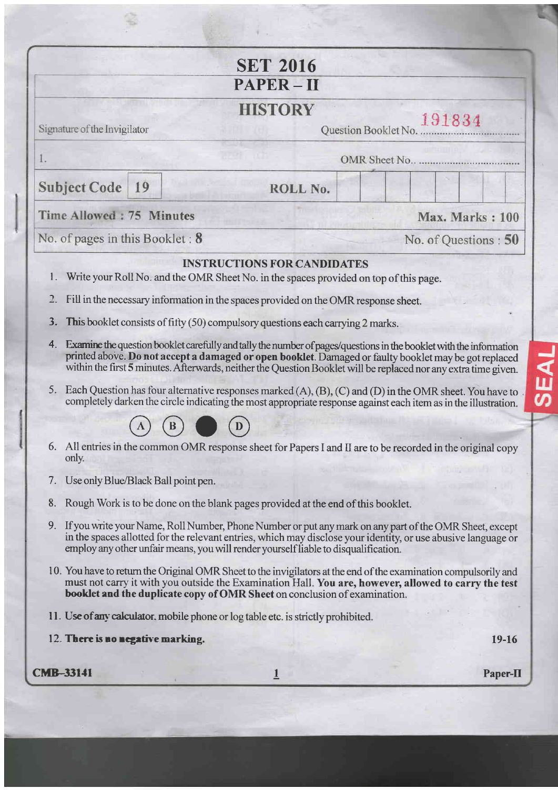|    |                                        | <b>SET 2016</b>                                                                                                             |                                                                                                                                                                                                                                                                                                                                                |
|----|----------------------------------------|-----------------------------------------------------------------------------------------------------------------------------|------------------------------------------------------------------------------------------------------------------------------------------------------------------------------------------------------------------------------------------------------------------------------------------------------------------------------------------------|
|    |                                        | <b>PAPER-II</b>                                                                                                             |                                                                                                                                                                                                                                                                                                                                                |
|    | Signature of the Invigilator           | <b>HISTORY</b>                                                                                                              | 191834<br>Question Booklet No.                                                                                                                                                                                                                                                                                                                 |
| I. |                                        |                                                                                                                             | OMR Sheet No.                                                                                                                                                                                                                                                                                                                                  |
|    | 19                                     |                                                                                                                             |                                                                                                                                                                                                                                                                                                                                                |
|    | <b>Subject Code</b>                    | ROLL No.                                                                                                                    |                                                                                                                                                                                                                                                                                                                                                |
|    | Time Allowed: 75 Minutes               |                                                                                                                             | Max. Marks: 100                                                                                                                                                                                                                                                                                                                                |
|    | No. of pages in this Booklet: 8        |                                                                                                                             | No. of Questions: 50                                                                                                                                                                                                                                                                                                                           |
| 1. |                                        | <b>INSTRUCTIONS FOR CANDIDATES</b><br>Write your Roll No. and the OMR Sheet No. in the spaces provided on top of this page. |                                                                                                                                                                                                                                                                                                                                                |
|    |                                        | Fill in the necessary information in the spaces provided on the OMR response sheet.                                         |                                                                                                                                                                                                                                                                                                                                                |
| 3. |                                        | This booklet consists of fitty (50) compulsory questions each carrying 2 marks.                                             |                                                                                                                                                                                                                                                                                                                                                |
| 4. |                                        |                                                                                                                             | Examine the question booklet carefully and tally the number of pages/questions in the booklet with the information<br>printed above. Do not accept a damaged or open booklet. Damaged or faulty booklet may be got replaced<br>within the first 5 minutes. Afterwards, neither the Question Booklet will be replaced nor any extra time given. |
| 5. |                                        |                                                                                                                             | Each Question has four alternative responses marked (A), (B), (C) and (D) in the OMR sheet. You have to.<br>completely darken the circle indicating the most appropriate response against each item as in the illustration.                                                                                                                    |
|    |                                        |                                                                                                                             |                                                                                                                                                                                                                                                                                                                                                |
|    | only.                                  |                                                                                                                             | 6. All entries in the common OMR response sheet for Papers I and II are to be recorded in the original copy                                                                                                                                                                                                                                    |
|    | 7. Use only Blue/Black Ball point pen. |                                                                                                                             |                                                                                                                                                                                                                                                                                                                                                |
| 8. |                                        | Rough Work is to be done on the blank pages provided at the end of this booklet.                                            |                                                                                                                                                                                                                                                                                                                                                |
|    |                                        | employ any other unfair means, you will render yourself liable to disqualification.                                         | 9. If you write your Name, Roll Number, Phone Number or put any mark on any part of the OMR Sheet, except<br>in the spaces allotted for the relevant entries, which may disclose your identity, or use abusive language or                                                                                                                     |
|    |                                        | booklet and the duplicate copy of OMR Sheet on conclusion of examination.                                                   | 10. You have to return the Original OMR Sheet to the invigilators at the end of the examination compulsorily and<br>must not carry it with you outside the Examination Hall. You are, however, allowed to carry the test                                                                                                                       |
|    |                                        | 11. Use of any calculator, mobile phone or log table etc. is strictly prohibited.                                           |                                                                                                                                                                                                                                                                                                                                                |
|    | 12. There is no negative marking.      |                                                                                                                             | 19-16                                                                                                                                                                                                                                                                                                                                          |
|    |                                        |                                                                                                                             |                                                                                                                                                                                                                                                                                                                                                |

**SEAL** 

ö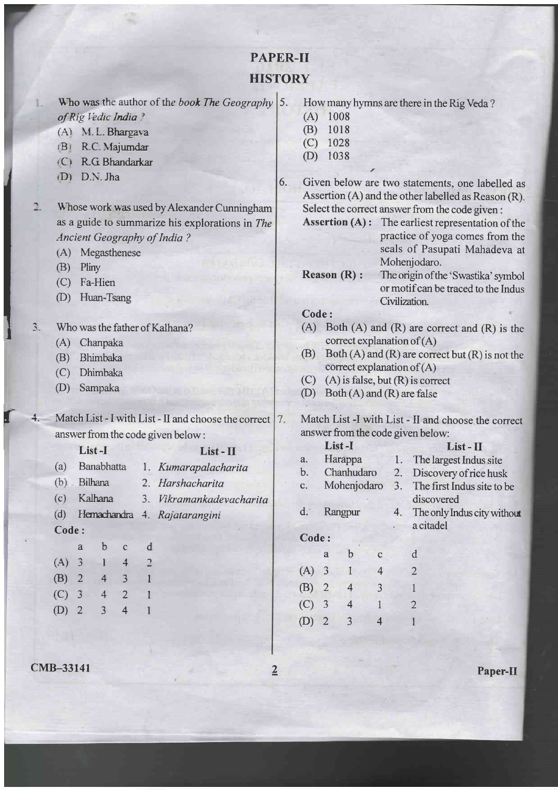# PAPER-II **HISTORY**

Who was the author of the book The Geography  $|5$ . of Rig Vedic India ?

- (A) M. L. Bhargava
- (B) R.C. Majumdar
- $iC$  RG Bhandarkar
- rD) D.N. Jha
- Whose work was used by Alexander Cunningham n. as a guide to summarize his explorations in The Ancient Geography of India ?
	- (A) Megasthenese
	- (B) Pliny
	- (C) Fa-Hien
	- (D) Huan-Tsang

3. Who was the father of Kalhana?

- (A) Chanpaka
- (B) Bhimbaka
- (C) Dhimbaka
- (D) Sampaka

Match List - I with List - II and choose the correct | 7. answer from the code given below : 1 't.

## List - I List - II

- (a) Banabhatta 1. Kumarapalacharita (b) Bilhana 2. Harshacharita
- (c) Kaltnna 3. Vikramankodevacharita
- (d) Hemachandra 4. Rajatarangini
- Code:

E<br>I

In the Card

|         | a                       | $\mathbf b$ | $\mathsf{C}$   | d |
|---------|-------------------------|-------------|----------------|---|
| (A)     | $\overline{\mathbf{3}}$ | L           | $\overline{4}$ | 2 |
| $(B)$ 2 |                         | 4           | 3              | 1 |
| $(C)$ 3 |                         | 4           | $\overline{2}$ | 1 |
| $(D)$ 2 |                         | 3           | 4              | 1 |

**CMB-33141** Paper-II

How many hymns are there in the Rig Veda?

- (A) <sup>1008</sup>
- $(B)$  1018
- (c) <sup>1028</sup>
- $(D)$  1038
- 6. Given below are two statements, one labelled as Assertion (A) and the other labelled as Reason (R). Select the correct answer from the code given :
	- Assertion (A) : The earliest representation of the practice of yoga comes from the seals of Pasupati Mahadeva at Mohenjodaro.
	- Reason (R) : The origin of the 'Swastika' symbol or motifcan be traced to the Indus Civilization

## Code:

- (A) Both  $(A)$  and  $(R)$  are correct and  $(R)$  is the correct explanation of (A)
- (B) Both  $(A)$  and  $(R)$  are correct but  $(R)$  is not the correct explanation of (A)
- $(C)$  (A) is false, but  $(R)$  is correct
- $(D)$  Both  $(A)$  and  $(R)$  are false

#### Match List -I with List - II and choose the correct answer from the code given below:

|       |   | List-I      |             |    | List - II                   |
|-------|---|-------------|-------------|----|-----------------------------|
| a.    |   | Harappa     |             | 1. | The largest Indus site      |
| b.    |   | Chanhudaro  |             | 2. | Discovery of rice husk      |
| c.    |   | Mohenjodaro |             | 3. | The first Indus site to be  |
|       |   |             |             |    | discovered                  |
| d.    |   | Rangpur     |             | 4. | The only Indus city without |
|       |   |             |             |    | a citadel                   |
| Code: |   |             |             |    |                             |
|       | a | b           | $\mathbf C$ |    | d                           |
| (A)   | 3 |             | 4           |    | 2                           |
| (B)   | 2 | 4           | 3           |    |                             |
| (C)   | 3 | 4           |             |    | 2                           |
| (D)   |   |             |             |    |                             |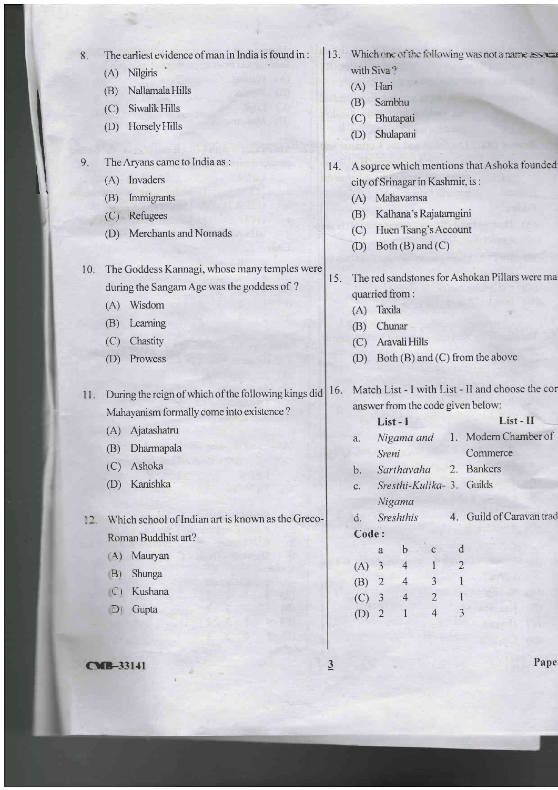| 8.     | The earliest evidence of man in India is found in:   |     |                                                |                                               |                                  |                |                | 13. Which one of the following was not a name assuer |      |  |
|--------|------------------------------------------------------|-----|------------------------------------------------|-----------------------------------------------|----------------------------------|----------------|----------------|------------------------------------------------------|------|--|
|        | (A) Nilgiris                                         |     | with Siva <sup>3</sup>                         |                                               |                                  |                |                |                                                      |      |  |
|        | Nallamala Hills<br>(B)                               |     | (A)                                            | Hari                                          |                                  |                |                |                                                      |      |  |
|        | Siwalik Hills<br>(C)                                 |     | (B)                                            | Sambhu                                        |                                  |                |                |                                                      |      |  |
|        | Horsely Hills<br>(D)                                 |     | (C)<br>(D)                                     |                                               | Bhutapati<br>Shulapani           |                |                |                                                      |      |  |
|        |                                                      |     |                                                |                                               |                                  |                |                |                                                      |      |  |
| 9.     | The Aryans came to India as :                        | 14. |                                                |                                               |                                  |                |                | A source which mentions that Ashoka founded          |      |  |
|        | (A) Invaders                                         |     |                                                |                                               | city of Srinagar in Kashmir, is: |                |                |                                                      |      |  |
|        | Immigrants<br>(B)                                    |     | (A)                                            |                                               | Mahavamsa                        |                |                |                                                      |      |  |
|        | (C) Refugees                                         |     | (B)                                            |                                               | Kalhana's Rajatarngini           |                |                |                                                      |      |  |
|        | Merchants and Nomads<br>(D)                          |     | (C)                                            |                                               | Huen Tsang's Account             |                |                |                                                      |      |  |
|        |                                                      |     | (D)                                            |                                               | Both (B) and (C)                 |                |                |                                                      |      |  |
| 10.    | The Goddess Kannagi, whose many temples were         |     |                                                |                                               |                                  |                |                |                                                      |      |  |
|        | during the Sangam Age was the goddess of ?           | 15. | The red sandstones for Ashokan Pillars were ma |                                               |                                  |                |                |                                                      |      |  |
|        | Wisdom<br>(A)                                        |     | quarried from:<br>Taxila<br>(A)                |                                               |                                  |                |                |                                                      |      |  |
|        | Learning<br>(B)                                      |     | Chunar<br>(B)                                  |                                               |                                  |                |                |                                                      |      |  |
|        | Chastity<br>(C)                                      |     | (C)                                            |                                               | Aravali Hills                    |                |                |                                                      |      |  |
|        | Prowess<br>(D)                                       |     | (D)                                            |                                               |                                  |                |                | Both (B) and (C) from the above                      |      |  |
|        |                                                      |     |                                                |                                               |                                  |                |                |                                                      |      |  |
| 11.    | During the reign of which of the following kings did | 16. |                                                |                                               |                                  |                |                | Match List - I with List - II and choose the cor     |      |  |
|        | Mahayanism formally come into existence?             |     | answer from the code given below:              |                                               |                                  |                |                |                                                      |      |  |
|        | Ajatashatru<br>(A)                                   |     | List - II<br>List-I                            |                                               |                                  |                |                |                                                      |      |  |
|        | Dharmapala<br>(B)                                    |     | a.                                             | Nigama and                                    |                                  |                |                | 1. Modern Chamber of                                 |      |  |
|        | Ashoka<br>(C)                                        |     |                                                | Sreni                                         |                                  |                |                | Commerce                                             |      |  |
|        | Kanishka                                             |     | b.                                             | Sarthavaha<br>2.<br>Sresthi-Kulika- 3. Guilds |                                  |                |                | <b>Bankers</b>                                       |      |  |
|        | (D)                                                  |     | $\mathbf{C}$ .                                 |                                               |                                  |                |                |                                                      |      |  |
|        | Which school of Indian art is known as the Greco-    |     | d.                                             |                                               | Nigama<br>Sreshthis              |                |                | 4. Guild of Caravan trad                             |      |  |
| $12 -$ |                                                      |     | Code:                                          |                                               |                                  |                |                |                                                      |      |  |
|        | Roman Buddhist art?                                  |     |                                                | a                                             | $\mathbf b$                      | $\mathbf C$    | d              |                                                      |      |  |
|        | Mauryan<br>(A)                                       |     | (A)                                            | 3                                             | 4                                |                | $\overline{2}$ |                                                      |      |  |
|        | Shunga<br>B)                                         |     | (B)                                            | $\overline{2}$                                | $\overline{4}$                   | 3              |                |                                                      |      |  |
|        | Kushana<br>$\mathbb{C}$                              |     | (C)                                            | $\mathfrak{Z}$                                | $\overline{4}$                   | $\overline{2}$ |                |                                                      |      |  |
|        | Gupta<br>$\mathbf{D}$                                |     | (D)                                            | $\overline{2}$                                | $\mathbf{1}$                     | $\overline{4}$ |                |                                                      |      |  |
|        |                                                      |     |                                                |                                               |                                  |                |                |                                                      |      |  |
|        |                                                      |     |                                                |                                               |                                  |                |                |                                                      |      |  |
|        | <b>CMB-33141</b>                                     | 3   |                                                |                                               |                                  |                |                |                                                      | Pape |  |

3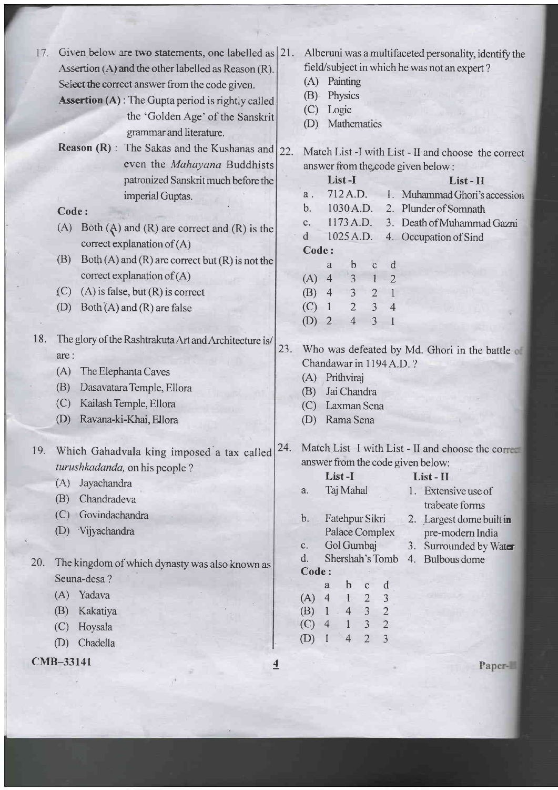| 17. | Given below are two statements, one labelled as 21.<br>Assertion (A) and the other labelled as Reason (R).<br>Select the correct answer from the code given.<br><b>Assertion (A)</b> : The Gupta period is rightly called<br>the 'Golden Age' of the Sanskrit<br>grammar and literature. |                | (A)<br>(B)<br>(C)<br>(D)                            | Painting<br>Physics<br>Logic<br>Mathematics | Alberuni was a multifaceted personality, identify the<br>field/subject in which he was not an expert? |                                  |                     |                                                     |  |  |  |
|-----|------------------------------------------------------------------------------------------------------------------------------------------------------------------------------------------------------------------------------------------------------------------------------------------|----------------|-----------------------------------------------------|---------------------------------------------|-------------------------------------------------------------------------------------------------------|----------------------------------|---------------------|-----------------------------------------------------|--|--|--|
|     | <b>Reason</b> $(R)$ :<br>The Sakas and the Kushanas and                                                                                                                                                                                                                                  | 22.            | Match List -I with List - II and choose the correct |                                             |                                                                                                       |                                  |                     |                                                     |  |  |  |
|     | even the Mahayana Buddhists                                                                                                                                                                                                                                                              |                | answer from the code given below:                   |                                             |                                                                                                       |                                  |                     |                                                     |  |  |  |
|     | patronized Sanskrit much before the                                                                                                                                                                                                                                                      |                |                                                     | List-I<br>$List - II$<br>712 A.D.           |                                                                                                       |                                  |                     |                                                     |  |  |  |
|     | imperial Guptas.                                                                                                                                                                                                                                                                         |                | a.                                                  |                                             |                                                                                                       |                                  |                     | Muhammad Ghori's accession                          |  |  |  |
|     | Code:                                                                                                                                                                                                                                                                                    |                | b.                                                  |                                             | 1030 A.D.<br>1173 A.D.                                                                                |                                  |                     | 2. Plunder of Somnath                               |  |  |  |
|     | Both $(A)$ and $(R)$ are correct and $(R)$ is the<br>(A)                                                                                                                                                                                                                                 |                | c.<br>$\mathbf d$                                   |                                             | 1025 A.D.                                                                                             |                                  |                     | 3. Death of Muhammad Gazni<br>4. Occupation of Sind |  |  |  |
|     | correct explanation of $(A)$                                                                                                                                                                                                                                                             |                | Code:                                               |                                             |                                                                                                       |                                  |                     |                                                     |  |  |  |
|     | (B)<br>$Both (A) and (R) are correct but (R) is not the$                                                                                                                                                                                                                                 |                |                                                     | a                                           | b                                                                                                     | $\mathbf C$                      | d                   |                                                     |  |  |  |
|     | correct explanation of $(A)$                                                                                                                                                                                                                                                             |                | (A)                                                 | $\overline{4}$                              | $\overline{3}$                                                                                        |                                  | $\overline{2}$      |                                                     |  |  |  |
|     | $(A)$ is false, but $(R)$ is correct<br>(C)                                                                                                                                                                                                                                              |                | (B)                                                 | $\overline{4}$                              | $\overline{3}$                                                                                        | $\overline{2}$                   | $\mathbf{1}$        |                                                     |  |  |  |
|     | (D)<br>Both $(A)$ and $(R)$ are false                                                                                                                                                                                                                                                    |                | (C)                                                 | $\hat{\mathbf{T}}$                          | $\sqrt{2}$                                                                                            | $\overline{3}$                   | $\overline{4}$      |                                                     |  |  |  |
|     |                                                                                                                                                                                                                                                                                          |                | (D)                                                 | $\overline{2}$                              | $\overline{4}$                                                                                        | 3                                | $\mathbf{1}$        |                                                     |  |  |  |
| 18. | The glory of the Rashtrakuta Art and Architecture is/<br>are:<br>(A)<br>The Elephanta Caves<br>(B)<br>Dasavatara Temple, Ellora<br>Kailash Temple, Ellora<br>(C)<br>Ravana-ki-Khai, Ellora<br>(D)                                                                                        | 23.            | Chandawar in 1194 A.D.?<br>(A)<br>(B)<br>(C)<br>(D) |                                             | Prithviraj<br>Jai Chandra<br>Laxman Sena<br>Rama Sena                                                 |                                  |                     | Who was defeated by Md. Ghori in the battle of      |  |  |  |
|     | 19. Which Gahadvala king imposed a tax called                                                                                                                                                                                                                                            | 24.            |                                                     |                                             |                                                                                                       |                                  |                     | Match List -I with List - II and choose the correct |  |  |  |
|     | turushkadanda, on his people?                                                                                                                                                                                                                                                            |                |                                                     |                                             |                                                                                                       |                                  |                     | answer from the code given below:                   |  |  |  |
|     | Jayachandra<br>(A)                                                                                                                                                                                                                                                                       |                |                                                     | List-I                                      |                                                                                                       |                                  |                     | List-II                                             |  |  |  |
|     | Chandradeva<br>(B)                                                                                                                                                                                                                                                                       |                | a.                                                  |                                             | Taj Mahal                                                                                             |                                  |                     | 1. Extensive use of                                 |  |  |  |
|     | Govindachandra<br>(C)                                                                                                                                                                                                                                                                    |                |                                                     |                                             |                                                                                                       |                                  |                     | trabeate forms                                      |  |  |  |
|     | Vijyachandra<br>(D)                                                                                                                                                                                                                                                                      |                | b.                                                  |                                             | Fatehpur Sikri<br>Palace Complex                                                                      |                                  |                     | 2. Largest dome built in                            |  |  |  |
|     |                                                                                                                                                                                                                                                                                          |                | c.                                                  |                                             | Gol Gumbaj                                                                                            |                                  |                     | pre-modern India<br>3. Surrounded by Water          |  |  |  |
| 20. |                                                                                                                                                                                                                                                                                          |                | d.                                                  |                                             | Shershah's Tomb                                                                                       |                                  |                     | 4. Bulbous dome                                     |  |  |  |
|     | The kingdom of which dynasty was also known as<br>Seuna-desa?                                                                                                                                                                                                                            |                | Code:                                               |                                             |                                                                                                       |                                  |                     |                                                     |  |  |  |
|     | Yadava<br>(A)                                                                                                                                                                                                                                                                            |                |                                                     | a                                           | $\mathbf b$                                                                                           | $\mathbf C$                      | d                   |                                                     |  |  |  |
|     | (B)                                                                                                                                                                                                                                                                                      |                | $(A)$ 4                                             |                                             | $\mathbf{1}$<br>$\overline{4}$                                                                        | $\overline{2}$<br>$\mathfrak{Z}$ | 3<br>$\overline{2}$ |                                                     |  |  |  |
|     | Kakatiya                                                                                                                                                                                                                                                                                 |                | (B)<br>(C)                                          | $\mathbf{1}$<br>$\overline{4}$              | $\mathbf{1}$                                                                                          | $\overline{3}$                   | $\overline{2}$      |                                                     |  |  |  |
|     | Hoysala<br>(C)                                                                                                                                                                                                                                                                           |                | (D)                                                 |                                             | $\overline{4}$                                                                                        | $\overline{2}$                   | 3                   |                                                     |  |  |  |
|     | Chadella<br>(D)                                                                                                                                                                                                                                                                          |                |                                                     |                                             |                                                                                                       |                                  |                     |                                                     |  |  |  |
|     | CMB-33141                                                                                                                                                                                                                                                                                | $\overline{4}$ |                                                     |                                             |                                                                                                       |                                  |                     | Paper-                                              |  |  |  |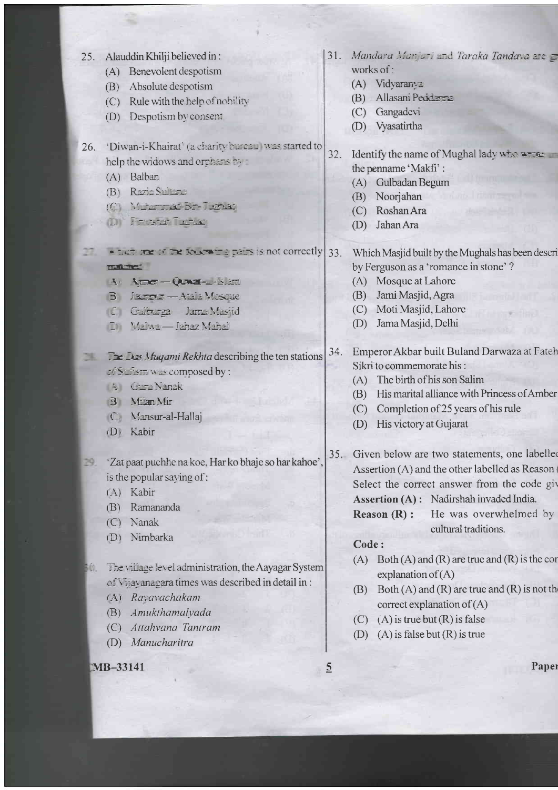|     | 25. Alauddin Khilji believed in:                              | 31.            | Mandara Manjari and Taraka Tandara are =                                 |
|-----|---------------------------------------------------------------|----------------|--------------------------------------------------------------------------|
|     | Benevolent despotism<br>(A)                                   |                | works of:                                                                |
|     | Absolute despotism<br>(B)                                     |                | (A) Vidyaranya                                                           |
|     | Rule with the help of nobility<br>(C)                         |                | Allasani Peddama<br>(B)                                                  |
|     | Despotism by consent<br>(D)                                   |                | Gangadevi<br>(C)                                                         |
|     |                                                               |                | Vyasatirtha<br>(D)                                                       |
| 26. | 'Diwan-i-Khairat' (a charity bureau was started to            | 32.            | Identify the name of Mughal lady who write                               |
|     | help the widows and orphans by                                |                | the penname 'Makfi':                                                     |
|     | (A) Balban                                                    |                | Gulbadan Begum<br>(A)                                                    |
|     | Razia Sultana<br>(B)                                          |                | Noorjahan<br>(B)                                                         |
|     | C METREDE PRE                                                 |                | Roshan Ara<br>(C)                                                        |
|     | <b>DIFFERENT TENSIS</b>                                       |                | Jahan Ara<br>(D)                                                         |
|     | $\bullet$ non-time of the solicing pairs is not correctly 33. |                | Which Masjid built by the Mughals has been descri                        |
|     | THE TELET                                                     |                | by Ferguson as a 'romance in stone'?                                     |
|     | 4 Amer-Que - Sam                                              |                | Mosque at Lahore<br>(A)                                                  |
|     | B Jarry - Atala Mesque                                        |                | Jami Masjid, Agra<br>(B)                                                 |
|     | C Galerga - Jama Masjid                                       |                | Moti Masjid, Lahore<br>(C)                                               |
|     | Malwa - Jahaz Mahal<br>(D)                                    |                | Jama Masjid, Delhi<br>(D)                                                |
|     |                                                               |                |                                                                          |
|     | $\Box$ Des Muyami Rekhta describing the ten stations          | 34.            | Emperor Akbar built Buland Darwaza at Fateh<br>Sikri to commemorate his: |
|     | of Suffism was composed by :                                  |                | The birth of his son Salim<br>(A)                                        |
|     | <b>A</b> Gard Nanak                                           |                | His marital alliance with Princess of Amber<br>(B)                       |
|     | <b>B</b> Mian Mir                                             |                |                                                                          |
|     | C. Mansur-al-Hallaj                                           |                | Completion of 25 years of his rule<br>(C)                                |
|     | (D) Kabir                                                     |                | His victory at Gujarat<br>(D)                                            |
|     | 'Zat paat puchhe na koe, Har ko bhaje so har kahoe'           |                | 35. Given below are two statements, one labelled                         |
|     | is the popular saying of:                                     |                | Assertion (A) and the other labelled as Reason (                         |
|     | Kabir<br>(A)                                                  |                | Select the correct answer from the code giv                              |
|     | Ramananda<br>(B)                                              |                | Assertion (A): Nadirshah invaded India.                                  |
|     | Nanak                                                         |                | He was overwhelmed by<br>Reason $(R)$ :                                  |
|     | (C)                                                           |                | cultural traditions.                                                     |
|     | Nimbarka<br>(D)                                               |                | Code:                                                                    |
|     |                                                               |                | Both $(A)$ and $(R)$ are true and $(R)$ is the cor<br>(A)                |
| w.  | The village level administration, the Aayagar System          |                | explanation of $(A)$                                                     |
|     | of Vijayanagara times was described in detail in:             |                | Both $(A)$ and $(R)$ are true and $(R)$ is not the<br>(B)                |
|     | Ravavachakam<br>(A)                                           |                | correct explanation of $(A)$                                             |
|     | Amukthamalyada<br>(B)                                         |                | $(A)$ is true but $(R)$ is false<br>(C)                                  |
|     | Attahvana Tantram<br>(C)                                      |                | $(A)$ is false but $(R)$ is true<br>(D)                                  |
|     | Manucharitra<br>(D)                                           |                |                                                                          |
|     | MB-33141                                                      | $\overline{2}$ | Paper                                                                    |
|     |                                                               |                |                                                                          |
|     |                                                               |                |                                                                          |
|     |                                                               |                |                                                                          |
|     |                                                               |                |                                                                          |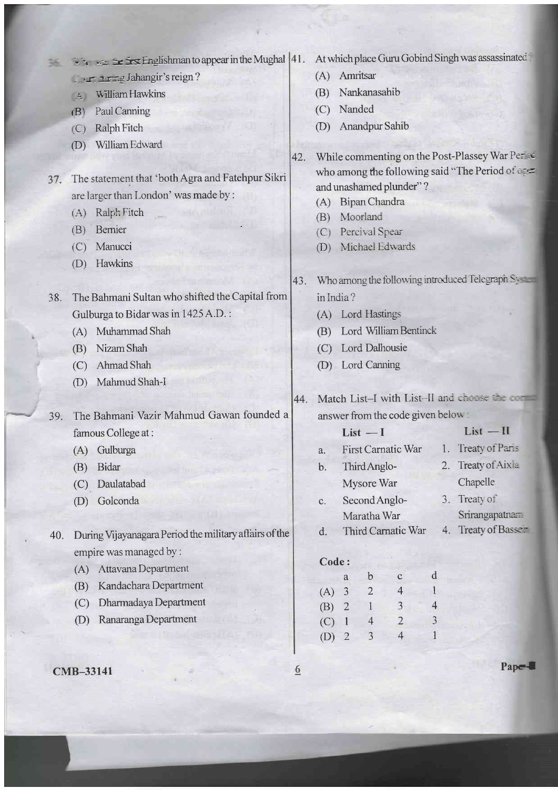|     |                         | $\therefore$ $\therefore$ $\cong$ $\cong$ $\cong$ $\cong$ $\cong$ Englishman to appear in the Mughal  41. |                         |            |                     |                               |                                   |                | At which place Guru Gobind Singh was assassinated   |  |
|-----|-------------------------|-----------------------------------------------------------------------------------------------------------|-------------------------|------------|---------------------|-------------------------------|-----------------------------------|----------------|-----------------------------------------------------|--|
|     |                         | I aring Jahangir's reign?                                                                                 |                         | (A)        | Amritsar            |                               |                                   |                |                                                     |  |
|     | $\mathbf{A}$            | William Hawkins                                                                                           |                         | (B)        |                     | Nankanasahib                  |                                   |                |                                                     |  |
|     | (B)                     | Paul Canning                                                                                              |                         | (C)        | Nanded              |                               |                                   |                |                                                     |  |
|     | (C)                     | Ralph Fitch                                                                                               |                         | (D)        |                     | Anandpur Sahib                |                                   |                |                                                     |  |
|     | (D)                     | William Edward                                                                                            |                         |            |                     |                               |                                   |                |                                                     |  |
|     |                         |                                                                                                           | 42.                     |            |                     |                               |                                   |                | While commenting on the Post-Plassey War Perse      |  |
| 37. |                         | The statement that 'both Agra and Fatehpur Sikri                                                          |                         |            |                     |                               |                                   |                | who among the following said "The Period of open    |  |
|     |                         | are larger than London' was made by :                                                                     |                         |            |                     |                               | and unashamed plunder"?           |                |                                                     |  |
|     | (A)                     | Ralph Fitch                                                                                               |                         | (A)<br>(B) |                     | Bipan Chandra<br>Moorland     |                                   |                |                                                     |  |
|     | (B)                     | Bernier                                                                                                   |                         | (C)        |                     | Percival Spear                |                                   |                |                                                     |  |
|     | (C)                     | Manucci                                                                                                   |                         | (D)        |                     |                               | Michael Edwards                   |                |                                                     |  |
|     | (D)                     | Hawkins                                                                                                   |                         |            |                     |                               |                                   |                |                                                     |  |
|     |                         |                                                                                                           | 43.                     |            |                     |                               |                                   |                | Who among the following introduced Telegraph System |  |
| 38. |                         | The Bahmani Sultan who shifted the Capital from                                                           |                         | in India?  |                     |                               |                                   |                |                                                     |  |
|     |                         | Gulburga to Bidar was in 1425 A.D.:                                                                       |                         | (A)        |                     | <b>Lord Hastings</b>          |                                   |                |                                                     |  |
|     | (A)                     | Muhammad Shah                                                                                             |                         | (B)        |                     |                               | Lord William Bentinck             |                |                                                     |  |
|     | (B)                     | Nizam Shah                                                                                                |                         | (C)        |                     | Lord Dalhousie                |                                   |                |                                                     |  |
|     | (C)                     | Ahmad Shah                                                                                                |                         | (D)        |                     | Lord Canning                  |                                   |                |                                                     |  |
|     | (D)                     | Mahmud Shah-I                                                                                             |                         |            |                     |                               |                                   |                |                                                     |  |
|     |                         |                                                                                                           | 44.                     |            |                     |                               |                                   |                | Match List-I with List-II and choose the com-       |  |
| 39. |                         | The Bahmani Vazir Mahmud Gawan founded a                                                                  |                         |            |                     |                               | answer from the code given below: |                |                                                     |  |
|     |                         | famous College at:                                                                                        |                         | $List - I$ |                     |                               |                                   |                | $List$ $-II$                                        |  |
|     | (A)                     | Gulburga                                                                                                  |                         | a.         |                     |                               | <b>First Carnatic War</b>         |                | 1. Treaty of Paris                                  |  |
|     | (B)                     | Bidar                                                                                                     |                         | b.         |                     | Third Anglo-                  |                                   |                | 2. Treaty of Aixla                                  |  |
|     | (C)                     | Daulatabad                                                                                                |                         |            |                     | Mysore War                    |                                   |                | Chapelle                                            |  |
|     | (D)                     | Golconda                                                                                                  |                         | c.         |                     | Second Anglo-                 |                                   |                | 3. Treaty of                                        |  |
|     |                         |                                                                                                           |                         |            |                     | Maratha War                   |                                   |                | Srirangapatnam                                      |  |
| 40. |                         | During Vijayanagara Period the military affairs of the                                                    |                         | d.         |                     |                               | Third Carnatic War                |                | 4. Treaty of Basser                                 |  |
|     | empire was managed by : |                                                                                                           |                         |            |                     |                               |                                   |                |                                                     |  |
|     | (A)                     | Attavana Department                                                                                       |                         | Code:      |                     |                               |                                   |                |                                                     |  |
|     | (B)                     | Kandachara Department                                                                                     |                         | (A)        | a<br>$\overline{3}$ | $\mathbf b$<br>$\overline{2}$ | $\mathbf C$<br>$\overline{4}$     | d              |                                                     |  |
|     | (C)                     | Dharmadaya Department                                                                                     |                         | (B)        | $\overline{2}$      |                               | $\overline{\mathbf{3}}$           | $\overline{4}$ |                                                     |  |
|     | (D)                     | Ranaranga Department                                                                                      |                         | (C)        | $\mathbf{1}$        | $\overline{4}$                | $\overline{2}$                    | 3              |                                                     |  |
|     |                         |                                                                                                           |                         | (D)        | $\overline{2}$      | 3                             | $\overline{4}$                    |                |                                                     |  |
|     |                         |                                                                                                           |                         |            |                     |                               |                                   |                |                                                     |  |
|     | CMB-33141               |                                                                                                           | $\overline{\mathbf{e}}$ |            |                     |                               |                                   |                | Papel                                               |  |
|     |                         |                                                                                                           |                         |            |                     |                               |                                   |                |                                                     |  |